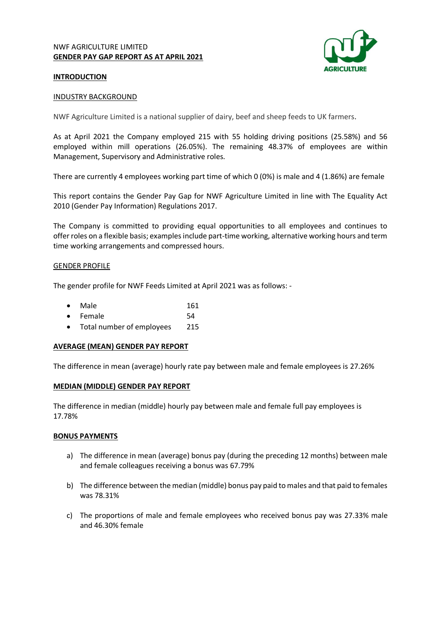# NWF AGRICULTURE LIMITED **GENDER PAY GAP REPORT AS AT APRIL 2021**



# **INTRODUCTION**

### INDUSTRY BACKGROUND

NWF Agriculture Limited is a national supplier of dairy, beef and sheep feeds to UK farmers.

As at April 2021 the Company employed 215 with 55 holding driving positions (25.58%) and 56 employed within mill operations (26.05%). The remaining 48.37% of employees are within Management, Supervisory and Administrative roles.

There are currently 4 employees working part time of which 0 (0%) is male and 4 (1.86%) are female

This report contains the Gender Pay Gap for NWF Agriculture Limited in line with The Equality Act 2010 (Gender Pay Information) Regulations 2017.

The Company is committed to providing equal opportunities to all employees and continues to offer roles on a flexible basis; examples include part-time working, alternative working hours and term time working arrangements and compressed hours.

### GENDER PROFILE

The gender profile for NWF Feeds Limited at April 2021 was as follows: -

| Male<br>$\bullet$ | 161 |
|-------------------|-----|
|-------------------|-----|

- **Female** 54
- Total number of employees 215

## **AVERAGE (MEAN) GENDER PAY REPORT**

The difference in mean (average) hourly rate pay between male and female employees is 27.26%

## **MEDIAN (MIDDLE) GENDER PAY REPORT**

The difference in median (middle) hourly pay between male and female full pay employees is 17.78%

#### **BONUS PAYMENTS**

- a) The difference in mean (average) bonus pay (during the preceding 12 months) between male and female colleagues receiving a bonus was 67.79%
- b) The difference between the median (middle) bonus pay paid to males and that paid to females was 78.31%
- c) The proportions of male and female employees who received bonus pay was 27.33% male and 46.30% female